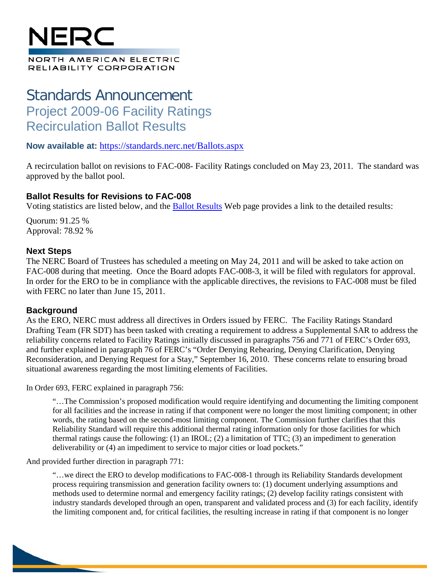# NFQ(

#### NORTH AMERICAN ELECTRIC RELIABILITY CORPORATION

## Standards Announcement Project 2009-06 Facility Ratings Recirculation Ballot Results

### **Now available at:** <https://standards.nerc.net/Ballots.aspx>

A recirculation ballot on revisions to FAC-008- Facility Ratings concluded on May 23, 2011. The standard was approved by the ballot pool.

### **Ballot Results for Revisions to FAC-008**

Voting statistics are listed below, and the [Ballot Results](https://standards.nerc.net/Ballots.aspx) Web page provides a link to the detailed results:

Quorum: 91.25 % Approval: 78.92 %

### **Next Steps**

The NERC Board of Trustees has scheduled a meeting on May 24, 2011 and will be asked to take action on FAC-008 during that meeting. Once the Board adopts FAC-008-3, it will be filed with regulators for approval. In order for the ERO to be in compliance with the applicable directives, the revisions to FAC-008 must be filed with FERC no later than June 15, 2011.

### **Background**

As the ERO, NERC must address all directives in Orders issued by FERC. The Facility Ratings Standard Drafting Team (FR SDT) has been tasked with creating a requirement to address a Supplemental SAR to address the reliability concerns related to Facility Ratings initially discussed in paragraphs 756 and 771 of FERC's Order 693, and further explained in paragraph 76 of FERC's "Order Denying Rehearing, Denying Clarification, Denying Reconsideration, and Denying Request for a Stay," September 16, 2010. These concerns relate to ensuring broad situational awareness regarding the most limiting elements of Facilities.

In Order 693, FERC explained in paragraph 756:

"…The Commission's proposed modification would require identifying and documenting the limiting component for all facilities and the increase in rating if that component were no longer the most limiting component; in other words, the rating based on the second-most limiting component. The Commission further clarifies that this Reliability Standard will require this additional thermal rating information only for those facilities for which thermal ratings cause the following: (1) an IROL; (2) a limitation of TTC; (3) an impediment to generation deliverability or (4) an impediment to service to major cities or load pockets."

And provided further direction in paragraph 771:

"…we direct the ERO to develop modifications to FAC-008-1 through its Reliability Standards development process requiring transmission and generation facility owners to: (1) document underlying assumptions and methods used to determine normal and emergency facility ratings; (2) develop facility ratings consistent with industry standards developed through an open, transparent and validated process and (3) for each facility, identify the limiting component and, for critical facilities, the resulting increase in rating if that component is no longer